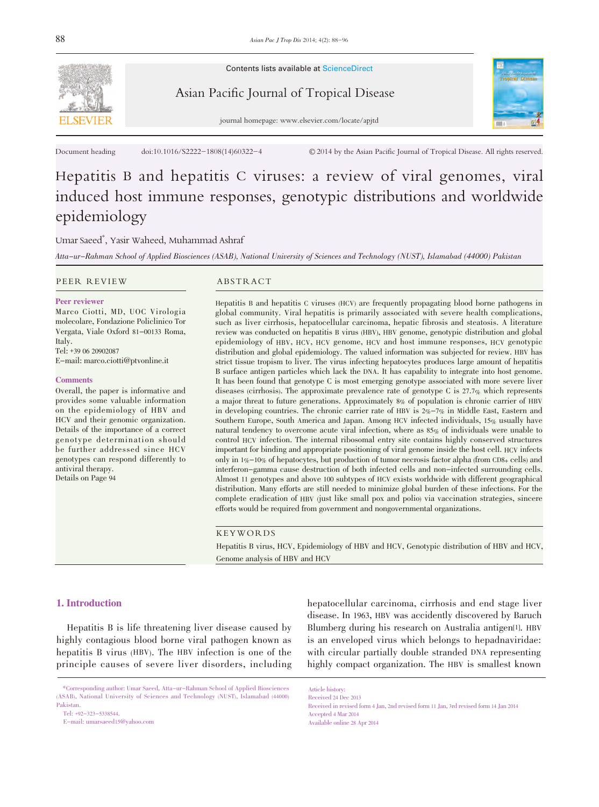

Contents lists available at ScienceDirect

# Asian Pacific Journal of Tropical Disease



journal homepage: www.elsevier.com/locate/apjtd

Document heading doi:10.1016/S2222-1808(14)60322-4  $\bullet$  2014 by the Asian Pacific Journal of Tropical Disease. All rights reserved.

# Hepatitis B and hepatitis C viruses: a review of viral genomes, viral induced host immune responses, genotypic distributions and worldwide epidemiology

### Umar Saeed\* , Yasir Waheed, Muhammad Ashraf

Atta-ur-Rahman School of Applied Biosciences (ASAB), National University of Sciences and Technology (NUST), Islamabad (44000) Pakistan

#### PEER REVIEW ABSTRACT

#### Peer reviewer

Marco Ciotti, MD, UOC Virologia molecolare, Fondazione Policlinico Tor Vergata, Viale Oxford 81-00133 Roma, Italy. Tel: +39 06 20902087 E-mail: marco.ciotti@ptvonline.it

#### **Comments**

Overall, the paper is informative and provides some valuable information on the epidemiology of HBV and HCV and their genomic organization. Details of the importance of a correct genotype determination should be further addressed since HCV genotypes can respond differently to antiviral therapy. Details on Page 94

Hepatitis B and hepatitis C viruses (HCV) are frequently propagating blood borne pathogens in global community. Viral hepatitis is primarily associated with severe health complications, such as liver cirrhosis, hepatocellular carcinoma, hepatic fibrosis and steatosis. A literature review was conducted on hepatitis B virus (HBV), HBV genome, genotypic distribution and global epidemiology of HBV, HCV, HCV genome, HCV and host immune responses, HCV genotypic distribution and global epidemiology. The valued information was subjected for review. HBV has strict tissue tropism to liver. The virus infecting hepatocytes produces large amount of hepatitis B surface antigen particles which lack the DNA. It has capability to integrate into host genome. It has been found that genotype C is most emerging genotype associated with more severe liver diseases (cirrhosis). The approximate prevalence rate of genotype C is 27.7% which represents a major threat to future generations. Approximately 8% of population is chronic carrier of HBV in developing countries. The chronic carrier rate of HBV is  $2\% - 7\%$  in Middle East, Eastern and Southern Europe, South America and Japan. Among HCV infected individuals, 15% usually have natural tendency to overcome acute viral infection, where as 85% of individuals were unable to control HCV infection. The internal ribosomal entry site contains highly conserved structures important for binding and appropriate positioning of viral genome inside the host cell. HCV infects only in 1%-10% of hepatocytes, but production of tumor necrosis factor alpha (from CD8+ cells) and interferon-gamma cause destruction of both infected cells and non-infected surrounding cells. Almost 11 genotypes and above 100 subtypes of HCV exists worldwide with different geographical distribution. Many efforts are still needed to minimize global burden of these infections. For the complete eradication of HBV (just like small pox and polio) via vaccination strategies, sincere efforts would be required from government and nongovernmental organizations.

#### KEYWORDS

Hepatitis B virus, HCV, Epidemiology of HBV and HCV, Genotypic distribution of HBV and HCV, Genome analysis of HBV and HCV

#### 1. Introduction

 Hepatitis B is life threatening liver disease caused by highly contagious blood borne viral pathogen known as hepatitis B virus (HBV). The HBV infection is one of the principle causes of severe liver disorders, including

 \*Corresponding author: Umar Saeed, Atta-ur-Rahman School of Applied Biosciences (ASAB), National University of Sciences and Technology (NUST), Islamabad (44000) Pakistan.

Tel: +92-323-5338544.

E-mail: umarsaeed15@yahoo.com

hepatocellular carcinoma, cirrhosis and end stage liver disease. In 1963, HBV was accidently discovered by Baruch Blumberg during his research on Australia antigen[1]. HBV is an enveloped virus which belongs to hepadnaviridae: with circular partially double stranded DNA representing highly compact organization. The HBV is smallest known

Article history: Received 24 Dec 2013

Received in revised form 4 Jan, 2nd revised form 11 Jan, 3rd revised form 14 Jan 2014 Accepted 4 Mar 2014 Available online 28 Apr 2014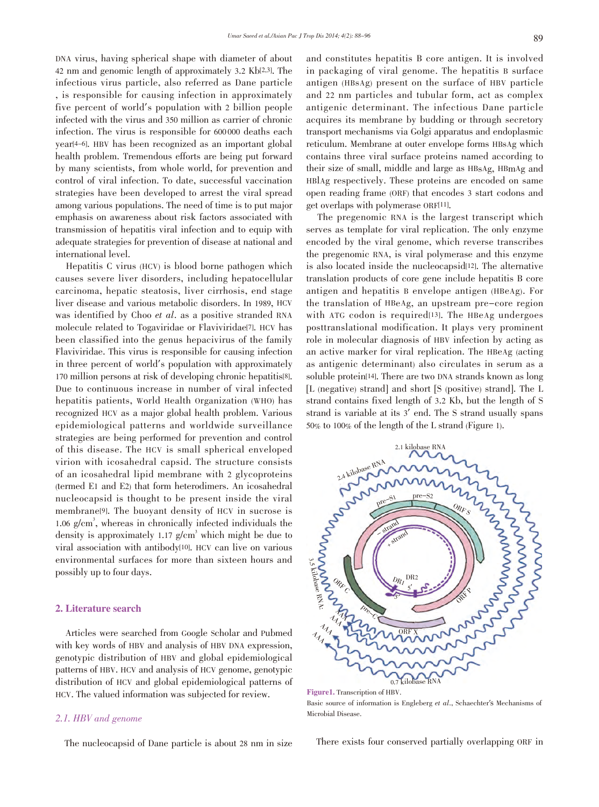DNA virus, having spherical shape with diameter of about 42 nm and genomic length of approximately 3.2 Kb[2,3]. The infectious virus particle, also referred as Dane particle , is responsible for causing infection in approximately five percent of world's population with 2 billion people infected with the virus and 350 million as carrier of chronic infection. The virus is responsible for 600 000 deaths each year[4-6]. HBV has been recognized as an important global health problem. Tremendous efforts are being put forward by many scientists, from whole world, for prevention and control of viral infection. To date, successful vaccination strategies have been developed to arrest the viral spread among various populations. The need of time is to put major emphasis on awareness about risk factors associated with transmission of hepatitis viral infection and to equip with adequate strategies for prevention of disease at national and international level.

 Hepatitis C virus (HCV) is blood borne pathogen which causes severe liver disorders, including hepatocellular carcinoma, hepatic steatosis, liver cirrhosis, end stage liver disease and various metabolic disorders. In 1989, HCV was identified by Choo et al. as a positive stranded RNA molecule related to Togaviridae or Flaviviridae[7]. HCV has been classified into the genus hepacivirus of the family Flaviviridae. This virus is responsible for causing infection in three percent of world's population with approximately 170 million persons at risk of developing chronic hepatitis[8]. Due to continuous increase in number of viral infected hepatitis patients, World Health Organization (WHO) has recognized HCV as a major global health problem. Various epidemiological patterns and worldwide surveillance strategies are being performed for prevention and control of this disease. The HCV is small spherical enveloped virion with icosahedral capsid. The structure consists of an icosahedral lipid membrane with 2 glycoproteins (termed E1 and E2) that form heterodimers. An icosahedral nucleocapsid is thought to be present inside the viral membrane[9]. The buoyant density of HCV in sucrose is 1.06 g/cm<sup>3</sup>, whereas in chronically infected individuals the density is approximately 1.17  $g/cm^3$  which might be due to viral association with antibody[10]. HCV can live on various environmental surfaces for more than sixteen hours and possibly up to four days.

#### 2. Literature search

 Articles were searched from Google Scholar and Pubmed with key words of HBV and analysis of HBV DNA expression, genotypic distribution of HBV and global epidemiological patterns of HBV. HCV and analysis of HCV genome, genotypic distribution of HCV and global epidemiological patterns of HCV. The valued information was subjected for review.

#### 2.1. HBV and genome

The nucleocapsid of Dane particle is about 28 nm in size

and constitutes hepatitis B core antigen. It is involved in packaging of viral genome. The hepatitis B surface antigen (HBsAg) present on the surface of HBV particle and 22 nm particles and tubular form, act as complex antigenic determinant. The infectious Dane particle acquires its membrane by budding or through secretory transport mechanisms via Golgi apparatus and endoplasmic reticulum. Membrane at outer envelope forms HBsAg which contains three viral surface proteins named according to their size of small, middle and large as HBsAg, HBmAg and HBlAg respectively. These proteins are encoded on same open reading frame (ORF) that encodes 3 start codons and get overlaps with polymerase ORF[11].

 The pregenomic RNA is the largest transcript which serves as template for viral replication. The only enzyme encoded by the viral genome, which reverse transcribes the pregenomic RNA, is viral polymerase and this enzyme is also located inside the nucleocapsid[12]. The alternative translation products of core gene include hepatitis B core antigen and hepatitis B envelope antigen (HBeAg). For the translation of HBeAg, an upstream pre-core region with ATG codon is required<sup>[13]</sup>. The HBeAg undergoes posttranslational modification. It plays very prominent role in molecular diagnosis of HBV infection by acting as an active marker for viral replication. The HBeAg (acting as antigenic determinant) also circulates in serum as a soluble protein[14]. There are two DNA strands known as long [L (negative) strand] and short [S (positive) strand]. The L strand contains fixed length of 3.2 Kb, but the length of S strand is variable at its 3' end. The S strand usually spans 50% to 100% of the length of the L strand (Figure 1).



Figure1. Transcription of HBV. Basic source of information is Engleberg et al., Schaechter's Mechanisms of Microbial Disease.

There exists four conserved partially overlapping ORF in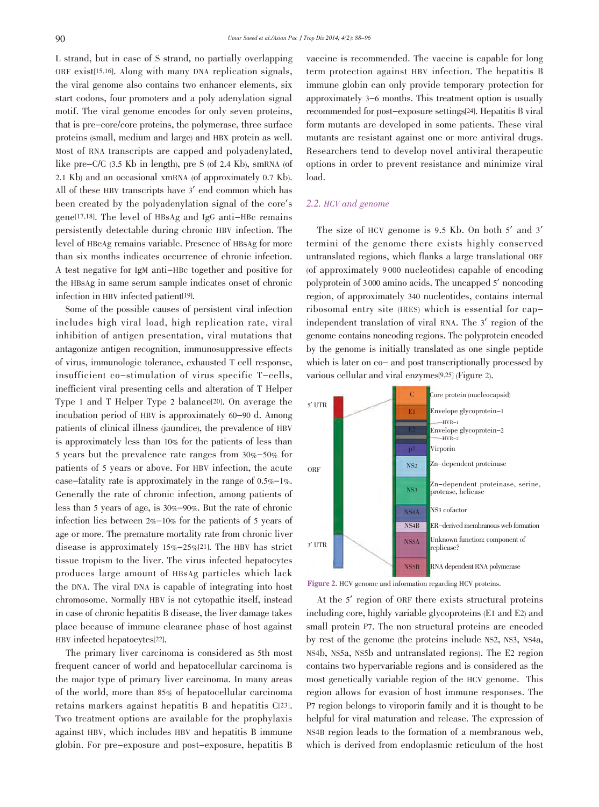L strand, but in case of S strand, no partially overlapping ORF exist[15,16]. Along with many DNA replication signals, the viral genome also contains two enhancer elements, six start codons, four promoters and a poly adenylation signal motif. The viral genome encodes for only seven proteins, that is pre-core/core proteins, the polymerase, three surface proteins (small, medium and large) and HBX protein as well. Most of RNA transcripts are capped and polyadenylated, like pre-C/C (3.5 Kb in length), pre S (of 2.4 Kb), smRNA (of 2.1 Kb) and an occasional xmRNA (of approximately 0.7 Kb). All of these HBV transcripts have 3' end common which has been created by the polyadenylation signal of the core's gene[17,18]. The level of HBsAg and IgG anti-HBc remains persistently detectable during chronic HBV infection. The level of HBeAg remains variable. Presence of HBsAg for more than six months indicates occurrence of chronic infection. A test negative for IgM anti-HBc together and positive for the HBsAg in same serum sample indicates onset of chronic infection in HBV infected patient[19].

 Some of the possible causes of persistent viral infection includes high viral load, high replication rate, viral inhibition of antigen presentation, viral mutations that antagonize antigen recognition, immunosuppressive effects of virus, immunologic tolerance, exhausted T cell response, insufficient co-stimulation of virus specific T-cells, inefficient viral presenting cells and alteration of T Helper Type 1 and T Helper Type 2 balance[20]. On average the incubation period of HBV is approximately 60-90 d. Among patients of clinical illness (jaundice), the prevalence of HBV is approximately less than 10% for the patients of less than 5 years but the prevalence rate ranges from 30%-50% for patients of 5 years or above. For HBV infection, the acute case-fatality rate is approximately in the range of 0.5%-1%. Generally the rate of chronic infection, among patients of less than 5 years of age, is 30%-90%. But the rate of chronic infection lies between 2%-10% for the patients of 5 years of age or more. The premature mortality rate from chronic liver disease is approximately 15%-25%[21]. The HBV has strict tissue tropism to the liver. The virus infected hepatocytes produces large amount of HBsAg particles which lack the DNA. The viral DNA is capable of integrating into host chromosome. Normally HBV is not cytopathic itself, instead in case of chronic hepatitis B disease, the liver damage takes place because of immune clearance phase of host against HBV infected hepatocytes[22].

 The primary liver carcinoma is considered as 5th most frequent cancer of world and hepatocellular carcinoma is the major type of primary liver carcinoma. In many areas of the world, more than 85% of hepatocellular carcinoma retains markers against hepatitis B and hepatitis C[23]. Two treatment options are available for the prophylaxis against HBV, which includes HBV and hepatitis B immune globin. For pre-exposure and post-exposure, hepatitis B

vaccine is recommended. The vaccine is capable for long term protection against HBV infection. The hepatitis B immune globin can only provide temporary protection for approximately 3-6 months. This treatment option is usually recommended for post-exposure settings[24]. Hepatitis B viral form mutants are developed in some patients. These viral mutants are resistant against one or more antiviral drugs. Researchers tend to develop novel antiviral therapeutic options in order to prevent resistance and minimize viral load.

#### 2.2. HCV and genome

 The size of HCV genome is 9.5 Kb. On both 5' and 3' termini of the genome there exists highly conserved untranslated regions, which flanks a large translational ORF (of approximately 9 000 nucleotides) capable of encoding polyprotein of 3 000 amino acids. The uncapped 5' noncoding region, of approximately 340 nucleotides, contains internal ribosomal entry site (IRES) which is essential for capindependent translation of viral RNA. The 3' region of the genome contains noncoding regions. The polyprotein encoded by the genome is initially translated as one single peptide which is later on co- and post transcriptionally processed by various cellular and viral enzymes[9,25] (Figure 2).



Figure 2. HCV genome and information regarding HCV proteins.

 At the 5' region of ORF there exists structural proteins including core, highly variable glycoproteins (E1 and E2) and small protein P7. The non structural proteins are encoded by rest of the genome (the proteins include NS2, NS3, NS4a, NS4b, NS5a, NS5b and untranslated regions). The E2 region contains two hypervariable regions and is considered as the most genetically variable region of the HCV genome. This region allows for evasion of host immune responses. The P7 region belongs to viroporin family and it is thought to be helpful for viral maturation and release. The expression of NS4B region leads to the formation of a membranous web, which is derived from endoplasmic reticulum of the host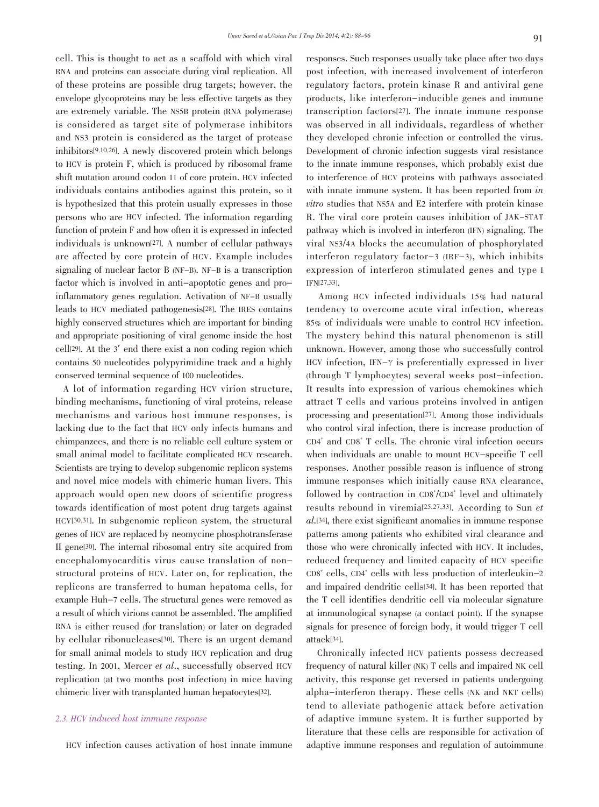cell. This is thought to act as a scaffold with which viral RNA and proteins can associate during viral replication. All of these proteins are possible drug targets; however, the envelope glycoproteins may be less effective targets as they are extremely variable. The NS5B protein (RNA polymerase) is considered as target site of polymerase inhibitors and NS3 protein is considered as the target of protease inhibitors[9,10,26]. A newly discovered protein which belongs to HCV is protein F, which is produced by ribosomal frame shift mutation around codon 11 of core protein. HCV infected individuals contains antibodies against this protein, so it is hypothesized that this protein usually expresses in those persons who are HCV infected. The information regarding function of protein F and how often it is expressed in infected individuals is unknown[27]. A number of cellular pathways are affected by core protein of HCV. Example includes signaling of nuclear factor B (NF-B). NF-B is a transcription factor which is involved in anti-apoptotic genes and proinflammatory genes regulation. Activation of NF-B usually leads to HCV mediated pathogenesis[28]. The IRES contains highly conserved structures which are important for binding and appropriate positioning of viral genome inside the host cell[29]. At the 3' end there exist a non coding region which contains 50 nucleotides polypyrimidine track and a highly conserved terminal sequence of 100 nucleotides.

 A lot of information regarding HCV virion structure, binding mechanisms, functioning of viral proteins, release mechanisms and various host immune responses, is lacking due to the fact that HCV only infects humans and chimpanzees, and there is no reliable cell culture system or small animal model to facilitate complicated HCV research. Scientists are trying to develop subgenomic replicon systems and novel mice models with chimeric human livers. This approach would open new doors of scientific progress towards identification of most potent drug targets against HCV[30,31]. In subgenomic replicon system, the structural genes of HCV are replaced by neomycine phosphotransferase II gene[30]. The internal ribosomal entry site acquired from encephalomyocarditis virus cause translation of nonstructural proteins of HCV. Later on, for replication, the replicons are transferred to human hepatoma cells, for example Huh-7 cells. The structural genes were removed as a result of which virions cannot be assembled. The amplified RNA is either reused (for translation) or later on degraded by cellular ribonucleases[30]. There is an urgent demand for small animal models to study HCV replication and drug testing. In 2001, Mercer et al., successfully observed HCV replication (at two months post infection) in mice having chimeric liver with transplanted human hepatocytes[32].

### 2.3. HCV induced host immune response

HCV infection causes activation of host innate immune

responses. Such responses usually take place after two days post infection, with increased involvement of interferon regulatory factors, protein kinase R and antiviral gene products, like interferon-inducible genes and immune transcription factors[27]. The innate immune response was observed in all individuals, regardless of whether they developed chronic infection or controlled the virus. Development of chronic infection suggests viral resistance to the innate immune responses, which probably exist due to interference of HCV proteins with pathways associated with innate immune system. It has been reported from in vitro studies that NS5A and E2 interfere with protein kinase R. The viral core protein causes inhibition of JAK-STAT pathway which is involved in interferon (IFN) signaling. The viral NS3/4A blocks the accumulation of phosphorylated interferon regulatory factor-3 (IRF-3), which inhibits expression of interferon stimulated genes and type I IFN[27,33].

 Among HCV infected individuals 15% had natural tendency to overcome acute viral infection, whereas 85% of individuals were unable to control HCV infection. The mystery behind this natural phenomenon is still unknown. However, among those who successfully control HCV infection,  $IFN-\gamma$  is preferentially expressed in liver (through T lymphocytes) several weeks post-infection. It results into expression of various chemokines which attract T cells and various proteins involved in antigen processing and presentation[27]. Among those individuals who control viral infection, there is increase production of CD4 + and CD8 + T cells. The chronic viral infection occurs when individuals are unable to mount HCV-specific T cell responses. Another possible reason is influence of strong immune responses which initially cause RNA clearance, followed by contraction in  $CD8^{\dagger}/CD4^{\dagger}$  level and ultimately results rebound in viremia[25,27,33]. According to Sun et al.[34], there exist significant anomalies in immune response patterns among patients who exhibited viral clearance and those who were chronically infected with HCV. It includes, reduced frequency and limited capacity of HCV specific CD8 + cells, CD4 + cells with less production of interleukin-2 and impaired dendritic cells[34]. It has been reported that the T cell identifies dendritic cell via molecular signature at immunological synapse (a contact point). If the synapse signals for presence of foreign body, it would trigger T cell attack[34].

 Chronically infected HCV patients possess decreased frequency of natural killer (NK) T cells and impaired NK cell activity, this response get reversed in patients undergoing alpha-interferon therapy. These cells (NK and NKT cells) tend to alleviate pathogenic attack before activation of adaptive immune system. It is further supported by literature that these cells are responsible for activation of adaptive immune responses and regulation of autoimmune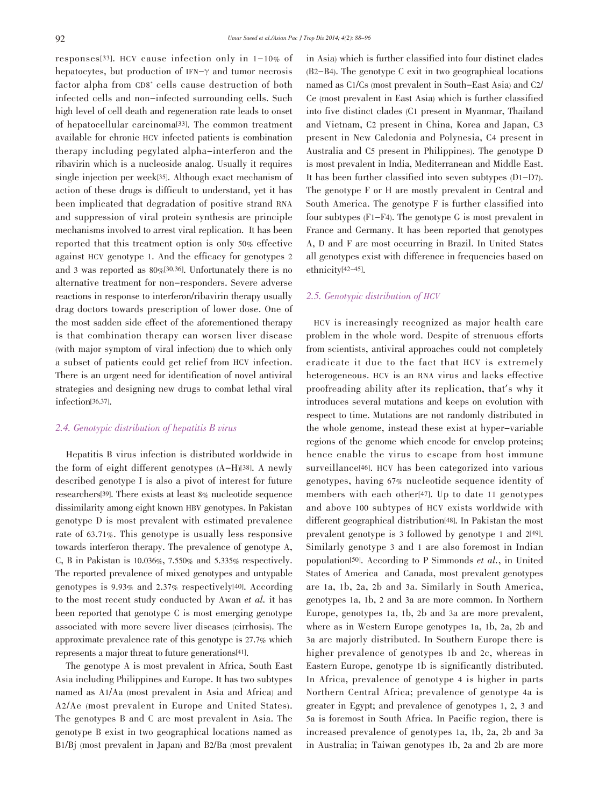responses[33]. HCV cause infection only in 1-10% of hepatocytes, but production of IFN-γ and tumor necrosis factor alpha from CD8<sup>+</sup> cells cause destruction of both infected cells and non-infected surrounding cells. Such high level of cell death and regeneration rate leads to onset of hepatocellular carcinoma[33]. The common treatment available for chronic HCV infected patients is combination therapy including pegylated alpha-interferon and the ribavirin which is a nucleoside analog. Usually it requires single injection per week[35]. Although exact mechanism of action of these drugs is difficult to understand, yet it has been implicated that degradation of positive strand RNA and suppression of viral protein synthesis are principle mechanisms involved to arrest viral replication. It has been reported that this treatment option is only 50% effective against HCV genotype 1. And the efficacy for genotypes 2 and 3 was reported as 80%[30,36]. Unfortunately there is no alternative treatment for non-responders. Severe adverse reactions in response to interferon/ribavirin therapy usually drag doctors towards prescription of lower dose. One of the most sadden side effect of the aforementioned therapy is that combination therapy can worsen liver disease (with major symptom of viral infection) due to which only a subset of patients could get relief from HCV infection. There is an urgent need for identification of novel antiviral strategies and designing new drugs to combat lethal viral infection[36,37].

#### 2.4. Genotypic distribution of hepatitis B virus

 Hepatitis B virus infection is distributed worldwide in the form of eight different genotypes (A-H)[38]. A newly described genotype I is also a pivot of interest for future researchers[39]. There exists at least 8% nucleotide sequence dissimilarity among eight known HBV genotypes. In Pakistan genotype D is most prevalent with estimated prevalence rate of 63.71%. This genotype is usually less responsive towards interferon therapy. The prevalence of genotype A, C, B in Pakistan is 10.036%, 7.550% and 5.335% respectively. The reported prevalence of mixed genotypes and untypable genotypes is 9.93% and 2.37% respectively[40]. According to the most recent study conducted by Awan et al. it has been reported that genotype C is most emerging genotype associated with more severe liver diseases (cirrhosis). The approximate prevalence rate of this genotype is 27.7% which represents a major threat to future generations[41].

 The genotype A is most prevalent in Africa, South East Asia including Philippines and Europe. It has two subtypes named as A1/Aa (most prevalent in Asia and Africa) and A2/Ae (most prevalent in Europe and United States). The genotypes B and C are most prevalent in Asia. The genotype B exist in two geographical locations named as B1/Bj (most prevalent in Japan) and B2/Ba (most prevalent in Asia) which is further classified into four distinct clades (B2-B4). The genotype C exit in two geographical locations named as C1/Cs (most prevalent in South-East Asia) and C2/ Ce (most prevalent in East Asia) which is further classified into five distinct clades (C1 present in Myanmar, Thailand and Vietnam, C2 present in China, Korea and Japan, C3 present in New Caledonia and Polynesia, C4 present in Australia and C5 present in Philippines). The genotype D is most prevalent in India, Mediterranean and Middle East. It has been further classified into seven subtypes (D1-D7). The genotype F or H are mostly prevalent in Central and South America. The genotype F is further classified into four subtypes (F1-F4). The genotype G is most prevalent in France and Germany. It has been reported that genotypes A, D and F are most occurring in Brazil. In United States all genotypes exist with difference in frequencies based on ethnicity[42-45].

# 2.5. Genotypic distribution of HCV

 HCV is increasingly recognized as major health care problem in the whole word. Despite of strenuous efforts from scientists, antiviral approaches could not completely eradicate it due to the fact that HCV is extremely heterogeneous. HCV is an RNA virus and lacks effective proofreading ability after its replication, that's why it introduces several mutations and keeps on evolution with respect to time. Mutations are not randomly distributed in the whole genome, instead these exist at hyper-variable regions of the genome which encode for envelop proteins; hence enable the virus to escape from host immune surveillance<sup>[46]</sup>. HCV has been categorized into various genotypes, having 67% nucleotide sequence identity of members with each other[47]. Up to date 11 genotypes and above 100 subtypes of HCV exists worldwide with different geographical distribution[48]. In Pakistan the most prevalent genotype is 3 followed by genotype 1 and 2[49]. Similarly genotype 3 and 1 are also foremost in Indian population[50]. According to P Simmonds et al., in United States of America and Canada, most prevalent genotypes are 1a, 1b, 2a, 2b and 3a. Similarly in South America, genotypes 1a, 1b, 2 and 3a are more common. In Northern Europe, genotypes 1a, 1b, 2b and 3a are more prevalent, where as in Western Europe genotypes 1a, 1b, 2a, 2b and 3a are majorly distributed. In Southern Europe there is higher prevalence of genotypes 1b and 2c, whereas in Eastern Europe, genotype 1b is significantly distributed. In Africa, prevalence of genotype 4 is higher in parts Northern Central Africa; prevalence of genotype 4a is greater in Egypt; and prevalence of genotypes 1, 2, 3 and 5a is foremost in South Africa. In Pacific region, there is increased prevalence of genotypes 1a, 1b, 2a, 2b and 3a in Australia; in Taiwan genotypes 1b, 2a and 2b are more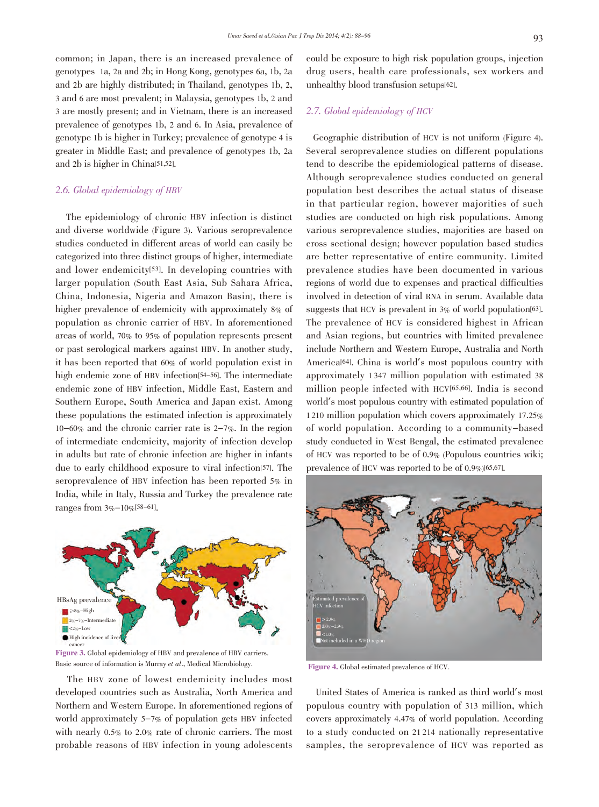common; in Japan, there is an increased prevalence of genotypes 1a, 2a and 2b; in Hong Kong, genotypes 6a, 1b, 2a and 2b are highly distributed; in Thailand, genotypes 1b, 2, 3 and 6 are most prevalent; in Malaysia, genotypes 1b, 2 and 3 are mostly present; and in Vietnam, there is an increased prevalence of genotypes 1b, 2 and 6. In Asia, prevalence of genotype 1b is higher in Turkey; prevalence of genotype 4 is greater in Middle East; and prevalence of genotypes 1b, 2a and 2b is higher in China[51,52].

#### 2.6. Global epidemiology of HBV

 The epidemiology of chronic HBV infection is distinct and diverse worldwide (Figure 3). Various seroprevalence studies conducted in different areas of world can easily be categorized into three distinct groups of higher, intermediate and lower endemicity[53]. In developing countries with larger population (South East Asia, Sub Sahara Africa, China, Indonesia, Nigeria and Amazon Basin), there is higher prevalence of endemicity with approximately 8% of population as chronic carrier of HBV. In aforementioned areas of world, 70% to 95% of population represents present or past serological markers against HBV. In another study, it has been reported that 60% of world population exist in high endemic zone of HBV infection<sup>[54-56]</sup>. The intermediate endemic zone of HBV infection, Middle East, Eastern and Southern Europe, South America and Japan exist. Among these populations the estimated infection is approximately 10-60% and the chronic carrier rate is 2-7%. In the region of intermediate endemicity, majority of infection develop in adults but rate of chronic infection are higher in infants due to early childhood exposure to viral infection[57]. The seroprevalence of HBV infection has been reported 5% in India, while in Italy, Russia and Turkey the prevalence rate ranges from 3%-10%[58-61].



eancer<br> **Figure 3.** Global epidemiology of HBV and prevalence of HBV carriers. Basic source of information is Murray et al., Medical Microbiology.

 The HBV zone of lowest endemicity includes most developed countries such as Australia, North America and Northern and Western Europe. In aforementioned regions of world approximately 5-7% of population gets HBV infected with nearly 0.5% to 2.0% rate of chronic carriers. The most probable reasons of HBV infection in young adolescents

could be exposure to high risk population groups, injection drug users, health care professionals, sex workers and unhealthy blood transfusion setups[62].

# 2.7. Global epidemiology of HCV

 Geographic distribution of HCV is not uniform (Figure 4). Several seroprevalence studies on different populations tend to describe the epidemiological patterns of disease. Although seroprevalence studies conducted on general population best describes the actual status of disease in that particular region, however majorities of such studies are conducted on high risk populations. Among various seroprevalence studies, majorities are based on cross sectional design; however population based studies are better representative of entire community. Limited prevalence studies have been documented in various regions of world due to expenses and practical difficulties involved in detection of viral RNA in serum. Available data suggests that HCV is prevalent in 3% of world population [63]. The prevalence of HCV is considered highest in African and Asian regions, but countries with limited prevalence include Northern and Western Europe, Australia and North America[64]. China is world's most populous country with approximately 1 347 million population with estimated 38 million people infected with HCV[65,66]. India is second world's most populous country with estimated population of 1 210 million population which covers approximately 17.25% of world population. According to a community-based study conducted in West Bengal, the estimated prevalence of HCV was reported to be of 0.9% (Populous countries wiki; prevalence of HCV was reported to be of 0.9%)[65,67].



Figure 4. Global estimated prevalence of HCV.

 United States of America is ranked as third world's most populous country with population of 313 million, which covers approximately 4.47% of world population. According to a study conducted on 21 214 nationally representative samples, the seroprevalence of HCV was reported as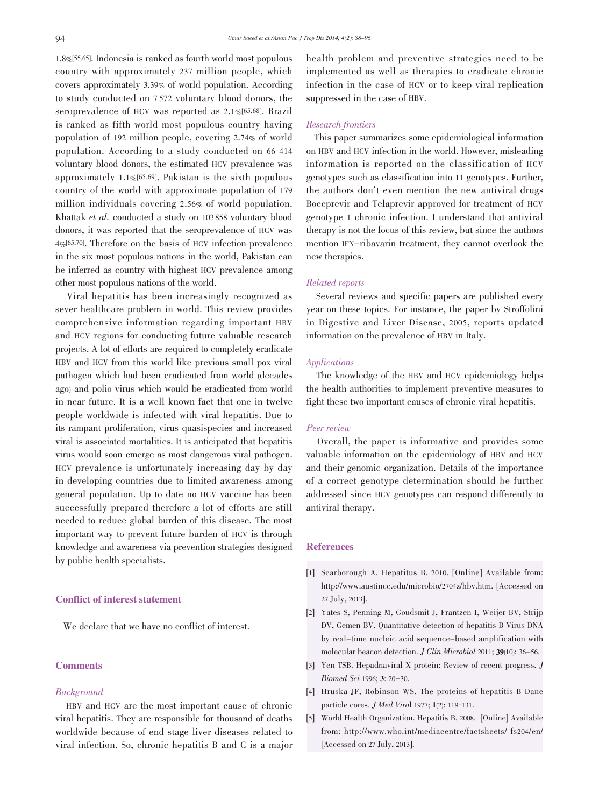1.8%[55,65]. Indonesia is ranked as fourth world most populous country with approximately 237 million people, which covers approximately 3.39% of world population. According to study conducted on 7 572 voluntary blood donors, the seroprevalence of HCV was reported as 2.1%[65,68]. Brazil is ranked as fifth world most populous country having population of 192 million people, covering 2.74% of world population. According to a study conducted on 66 414 voluntary blood donors, the estimated HCV prevalence was approximately 1.1%[65,69]. Pakistan is the sixth populous country of the world with approximate population of 179 million individuals covering 2.56% of world population. Khattak et al. conducted a study on 103 858 voluntary blood donors, it was reported that the seroprevalence of HCV was 4%[65,70]. Therefore on the basis of HCV infection prevalence in the six most populous nations in the world, Pakistan can be inferred as country with highest HCV prevalence among other most populous nations of the world.

 Viral hepatitis has been increasingly recognized as sever healthcare problem in world. This review provides comprehensive information regarding important HBV and HCV regions for conducting future valuable research projects. A lot of efforts are required to completely eradicate HBV and HCV from this world like previous small pox viral pathogen which had been eradicated from world (decades ago) and polio virus which would be eradicated from world in near future. It is a well known fact that one in twelve people worldwide is infected with viral hepatitis. Due to its rampant proliferation, virus quasispecies and increased viral is associated mortalities. It is anticipated that hepatitis virus would soon emerge as most dangerous viral pathogen. HCV prevalence is unfortunately increasing day by day in developing countries due to limited awareness among general population. Up to date no HCV vaccine has been successfully prepared therefore a lot of efforts are still needed to reduce global burden of this disease. The most important way to prevent future burden of HCV is through knowledge and awareness via prevention strategies designed by public health specialists.

### Conflict of interest statement

We declare that we have no conflict of interest.

# **Comments**

#### Background

 HBV and HCV are the most important cause of chronic viral hepatitis. They are responsible for thousand of deaths worldwide because of end stage liver diseases related to viral infection. So, chronic hepatitis B and C is a major health problem and preventive strategies need to be implemented as well as therapies to eradicate chronic infection in the case of HCV or to keep viral replication suppressed in the case of HBV.

#### Research frontiers

 This paper summarizes some epidemiological information on HBV and HCV infection in the world. However, misleading information is reported on the classification of HCV genotypes such as classification into 11 genotypes. Further, the authors don't even mention the new antiviral drugs Boceprevir and Telaprevir approved for treatment of HCV genotype 1 chronic infection. I understand that antiviral therapy is not the focus of this review, but since the authors mention IFN-ribavarin treatment, they cannot overlook the new therapies.

#### Related reports

 Several reviews and specific papers are published every year on these topics. For instance, the paper by Stroffolini in Digestive and Liver Disease, 2005, reports updated information on the prevalence of HBV in Italy.

#### Applications

 The knowledge of the HBV and HCV epidemiology helps the health authorities to implement preventive measures to fight these two important causes of chronic viral hepatitis.

#### Peer review

 Overall, the paper is informative and provides some valuable information on the epidemiology of HBV and HCV and their genomic organization. Details of the importance of a correct genotype determination should be further addressed since HCV genotypes can respond differently to antiviral therapy.

### References

- [1] Scarborough A. Hepatitus B. 2010. [Online] Available from: http://www.austincc.edu/microbio/2704z/hbv.htm. [Accessed on 27 July, 2013].
- [2] Yates S, Penning M, Goudsmit J, Frantzen I, Weijer BV, Strijp DV, Gemen BV. Quantitative detection of hepatitis B Virus DNA by real-time nucleic acid sequence-based amplification with molecular beacon detection. *J Clin Microbiol* 2011; 39(10): 36-56.
- [3] Yen TSB. Hepadnaviral X protein: Review of recent progress. J Biomed Sci 1996; 3: 20-30.
- [4] Hruska JF, Robinson WS. The proteins of hepatitis B Dane particle cores. J Med Virol 1977; 1(2): 119-131.
- [5] World Health Organization. Hepatitis B. 2008. [Online] Available from: http://www.who.int/mediacentre/factsheets/ fs204/en/ [Accessed on 27 July, 2013].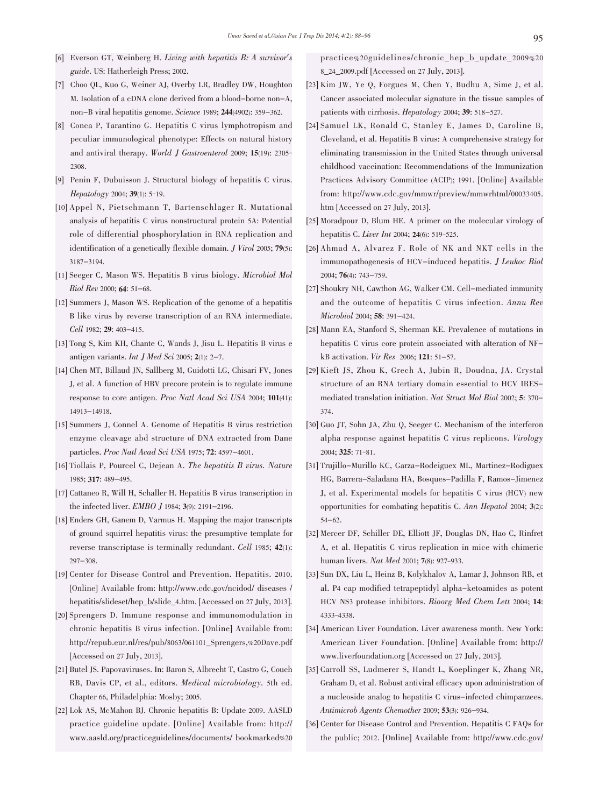- [6] Everson GT, Weinberg H. Living with hepatitis B: A survivor's guide. US: Hatherleigh Press; 2002.
- [7] Choo QL, Kuo G, Weiner AJ, Overby LR, Bradley DW, Houghton M. Isolation of a cDNA clone derived from a blood-borne non-A, non-B viral hepatitis genome. Science 1989; 244(4902): 359-362.
- [8] Conca P, Tarantino G. Hepatitis C virus lymphotropism and peculiar immunological phenotype: Effects on natural history and antiviral therapy. World J Gastroenterol 2009; 15(19): 2305- 2308.
- [9] Penin F, Dubuisson J. Structural biology of hepatitis C virus. Hepatology 2004; 39(1): 5-19.
- [10] Appel N, Pietschmann T, Bartenschlager R. Mutational analysis of hepatitis C virus nonstructural protein 5A: Potential role of differential phosphorylation in RNA replication and identification of a genetically flexible domain. J Virol 2005; 79(5): 3187-3194.
- [11] Seeger C, Mason WS. Hepatitis B virus biology. Microbiol Mol Biol Rev 2000; 64: 51-68.
- [12] Summers J, Mason WS. Replication of the genome of a hepatitis B like virus by reverse transcription of an RNA intermediate. Cell 1982; 29: 403-415.
- [13] Tong S, Kim KH, Chante C, Wands J, Jisu L. Hepatitis B virus e antigen variants. Int J Med Sci 2005; 2(1): 2-7.
- [14] Chen MT, Billaud JN, Sallberg M, Guidotti LG, Chisari FV, Jones J, et al. A function of HBV precore protein is to regulate immune response to core antigen. Proc Natl Acad Sci USA 2004; 101(41): 14913-14918.
- [15] Summers J, Connel A. Genome of Hepatitis B virus restriction enzyme cleavage abd structure of DNA extracted from Dane particles. Proc Natl Acad Sci USA 1975; 72: 4597-4601.
- [16] Tiollais P, Pourcel C, Dejean A. The hepatitis B virus. Nature 1985; 317: 489-495.
- [17] Cattaneo R, Will H, Schaller H. Hepatitis B virus transcription in the infected liver. EMBO J 1984; 3(9): 2191-2196.
- [18] Enders GH, Ganem D, Varmus H. Mapping the major transcripts of ground squirrel hepatitis virus: the presumptive template for reverse transcriptase is terminally redundant. Cell 1985; 42(1): 297-308.
- [19] Center for Disease Control and Prevention. Hepatitis. 2010. [Online] Available from: http://www.cdc.gov/ncidod/ diseases / hepatitis/slideset/hep\_b/slide\_4.htm. [Accessed on 27 July, 2013].
- [20] Sprengers D. Immune response and immunomodulation in chronic hepatitis B virus infection. [Online] Available from: http://repub.eur.nl/res/pub/8063/061101\_Sprengers,%20Dave.pdf [Accessed on 27 July, 2013].
- [21] Butel JS. Papovaviruses. In: Baron S, Albrecht T, Castro G, Couch RB, Davis CP, et al., editors. Medical microbiology. 5th ed. Chapter 66, Philadelphia: Mosby; 2005.
- [22] Lok AS, McMahon BJ. Chronic hepatitis B: Update 2009. AASLD practice guideline update. [Online] Available from: http:// www.aasld.org/practiceguidelines/documents/ bookmarked%20

practice%20guidelines/chronic\_hep\_b\_update\_2009%20 8\_24\_2009.pdf [Accessed on 27 July, 2013].

- [23] Kim JW, Ye Q, Forgues M, Chen Y, Budhu A, Sime J, et al. Cancer associated molecular signature in the tissue samples of patients with cirrhosis. Hepatology 2004; 39: 518-527.
- [24] Samuel LK, Ronald C, Stanley E, James D, Caroline B, Cleveland, et al. Hepatitis B virus: A comprehensive strategy for eliminating transmission in the United States through universal childhood vaccination: Recommendations of the Immunization Practices Advisory Committee (ACIP); 1991. [Online] Available from: http://www.cdc.gov/mmwr/preview/mmwrhtml/00033405. htm [Accessed on 27 July, 2013].
- [25] Moradpour D, Blum HE. A primer on the molecular virology of hepatitis C. Liver Int 2004; **24**(6): 519-525.
- [26] Ahmad A, Alvarez F. Role of NK and NKT cells in the immunopathogenesis of HCV-induced hepatitis. J Leukoc Biol 2004; 76(4): 743-759.
- [27] Shoukry NH, Cawthon AG, Walker CM. Cell-mediated immunity and the outcome of hepatitis C virus infection. Annu Rev Microbiol 2004; 58: 391-424.
- [28] Mann EA, Stanford S, Sherman KE. Prevalence of mutations in hepatitis C virus core protein associated with alteration of NFkB activation. Vir Res 2006; 121: 51-57.
- [29] Kieft JS, Zhou K, Grech A, Jubin R, Doudna, JA. Crystal structure of an RNA tertiary domain essential to HCV IRESmediated translation initiation. Nat Struct Mol Biol 2002; 5: 370- 374.
- [30] Guo JT, Sohn JA, Zhu Q, Seeger C. Mechanism of the interferon alpha response against hepatitis C virus replicons. Virology 2004; 325: 71-81.
- [31] Trujillo-Murillo KC, Garza-Rodeiguex ML, Martinez-Rodiguex HG, Barrera-Saladana HA, Bosques-Padilla F, Ramos-Jimenez J, et al. Experimental models for hepatitis C virus (HCV) new opportunities for combating hepatitis C. Ann Hepatol 2004; 3(2): 54-62.
- [32] Mercer DF, Schiller DE, Elliott JF, Douglas DN, Hao C, Rinfret A, et al. Hepatitis C virus replication in mice with chimeric human livers. Nat Med 2001; 7(8): 927-933.
- [33] Sun DX, Liu L, Heinz B, Kolykhalov A, Lamar J, Johnson RB, et al. P4 cap modified tetrapeptidyl alpha-ketoamides as potent HCV NS3 protease inhibitors. Bioorg Med Chem Lett 2004; 14: 4333-4338.
- [34] American Liver Foundation. Liver awareness month. New York: American Liver Foundation. [Online] Available from: http:// www.liverfoundation.org [Accessed on 27 July, 2013].
- [35] Carroll SS, Ludmerer S, Handt L, Koeplinger K, Zhang NR, Graham D, et al. Robust antiviral efficacy upon administration of a nucleoside analog to hepatitis C virus-infected chimpanzees. Antimicrob Agents Chemother 2009; 53(3): 926-934.
- [36] Center for Disease Control and Prevention. Hepatitis C FAQs for the public; 2012. [Online] Available from: http://www.cdc.gov/